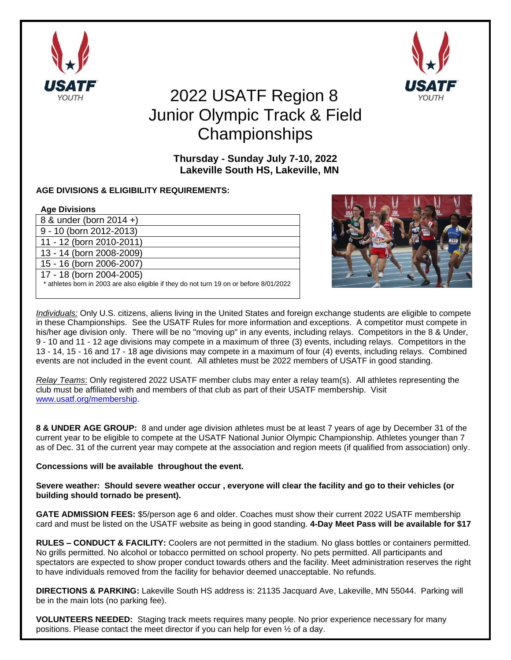



## 2022 USATF Region 8 Junior Olympic Track & Field **Championships**

**Thursday - Sunday July 7-10, 2022 Lakeville South HS, Lakeville, MN**

## **AGE DIVISIONS & ELIGIBILITY REQUIREMENTS:**

| <b>Age Divisions</b>                                                                    |
|-----------------------------------------------------------------------------------------|
| 8 & under (born 2014 +)                                                                 |
| 9 - 10 (born 2012-2013)                                                                 |
| 11 - 12 (born 2010-2011)                                                                |
| 13 - 14 (born 2008-2009)                                                                |
| 15 - 16 (born 2006-2007)                                                                |
| 17 - 18 (born 2004-2005)                                                                |
| * athletes born in 2003 are also eligible if they do not turn 19 on or before 8/01/2022 |
|                                                                                         |



*Individuals:* Only U.S. citizens, aliens living in the United States and foreign exchange students are eligible to compete in these Championships. See the USATF Rules for more information and exceptions. A competitor must compete in his/her age division only. There will be no "moving up" in any events, including relays. Competitors in the 8 & Under, 9 - 10 and 11 - 12 age divisions may compete in a maximum of three (3) events, including relays. Competitors in the 13 - 14, 15 - 16 and 17 - 18 age divisions may compete in a maximum of four (4) events, including relays. Combined events are not included in the event count. All athletes must be 2022 members of USATF in good standing.

*Relay Teams*: Only registered 2022 USATF member clubs may enter a relay team(s). All athletes representing the club must be affiliated with and members of that club as part of their USATF membership. Visit [www.usatf.org/membership.](http://www.usatf.org/membership)

**8 & UNDER AGE GROUP:** 8 and under age division athletes must be at least 7 years of age by December 31 of the current year to be eligible to compete at the USATF National Junior Olympic Championship. Athletes younger than 7 as of Dec. 31 of the current year may compete at the association and region meets (if qualified from association) only.

## **Concessions will be available throughout the event.**

**Severe weather: Should severe weather occur , everyone will clear the facility and go to their vehicles (or building should tornado be present).**

**GATE ADMISSION FEES:** \$5/person age 6 and older. Coaches must show their current 2022 USATF membership card and must be listed on the USATF website as being in good standing. **4-Day Meet Pass will be available for \$17**

**RULES – CONDUCT & FACILITY:** Coolers are not permitted in the stadium. No glass bottles or containers permitted. No grills permitted. No alcohol or tobacco permitted on school property. No pets permitted. All participants and spectators are expected to show proper conduct towards others and the facility. Meet administration reserves the right to have individuals removed from the facility for behavior deemed unacceptable. No refunds.

**DIRECTIONS & PARKING:** Lakeville South HS address is: 21135 Jacquard Ave, Lakeville, MN 55044. Parking will be in the main lots (no parking fee).

**VOLUNTEERS NEEDED:** Staging track meets requires many people. No prior experience necessary for many positions. Please contact the meet director if you can help for even ½ of a day.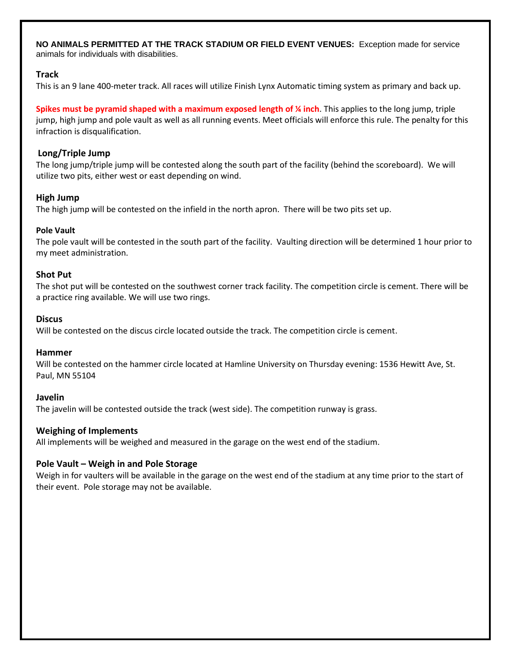**NO ANIMALS PERMITTED AT THE TRACK STADIUM OR FIELD EVENT VENUES:** Exception made for service animals for individuals with disabilities.

## **Track**

This is an 9 lane 400-meter track. All races will utilize Finish Lynx Automatic timing system as primary and back up.

**Spikes must be pyramid shaped with a maximum exposed length of ¼ inch**. This applies to the long jump, triple jump, high jump and pole vault as well as all running events. Meet officials will enforce this rule. The penalty for this infraction is disqualification.

#### **Long/Triple Jump**

The long jump/triple jump will be contested along the south part of the facility (behind the scoreboard). We will utilize two pits, either west or east depending on wind.

#### **High Jump**

The high jump will be contested on the infield in the north apron. There will be two pits set up.

#### **Pole Vault**

The pole vault will be contested in the south part of the facility. Vaulting direction will be determined 1 hour prior to my meet administration.

#### **Shot Put**

The shot put will be contested on the southwest corner track facility. The competition circle is cement. There will be a practice ring available. We will use two rings.

#### **Discus**

Will be contested on the discus circle located outside the track. The competition circle is cement.

#### **Hammer**

Will be contested on the hammer circle located at Hamline University on Thursday evening: 1536 Hewitt Ave, St. Paul, MN 55104

#### **Javelin**

The javelin will be contested outside the track (west side). The competition runway is grass.

## **Weighing of Implements**

All implements will be weighed and measured in the garage on the west end of the stadium.

## **Pole Vault – Weigh in and Pole Storage**

Weigh in for vaulters will be available in the garage on the west end of the stadium at any time prior to the start of their event. Pole storage may not be available.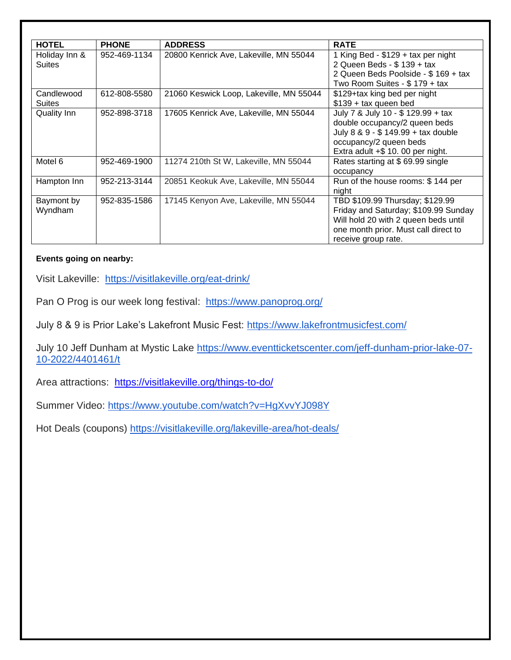| <b>HOTEL</b>       | <b>PHONE</b> | <b>ADDRESS</b>                          | <b>RATE</b>                          |
|--------------------|--------------|-----------------------------------------|--------------------------------------|
| Holiday Inn &      | 952-469-1134 | 20800 Kenrick Ave, Lakeville, MN 55044  | 1 King Bed - \$129 + tax per night   |
| <b>Suites</b>      |              |                                         | 2 Queen Beds - \$ 139 + tax          |
|                    |              |                                         | 2 Queen Beds Poolside - \$169 + tax  |
|                    |              |                                         | Two Room Suites - \$179 + tax        |
| Candlewood         | 612-808-5580 | 21060 Keswick Loop, Lakeville, MN 55044 | \$129+tax king bed per night         |
| <b>Suites</b>      |              |                                         | $$139 + tax$ queen bed               |
| <b>Quality Inn</b> | 952-898-3718 | 17605 Kenrick Ave, Lakeville, MN 55044  | July 7 & July 10 - \$ 129.99 + tax   |
|                    |              |                                         | double occupancy/2 queen beds        |
|                    |              |                                         | July 8 & 9 - \$ 149.99 + tax double  |
|                    |              |                                         | occupancy/2 queen beds               |
|                    |              |                                         | Extra adult +\$ 10.00 per night.     |
| Motel 6            | 952-469-1900 | 11274 210th St W, Lakeville, MN 55044   | Rates starting at \$69.99 single     |
|                    |              |                                         | occupancy                            |
| Hampton Inn        | 952-213-3144 | 20851 Keokuk Ave, Lakeville, MN 55044   | Run of the house rooms: \$144 per    |
|                    |              |                                         | night                                |
| Baymont by         | 952-835-1586 | 17145 Kenyon Ave, Lakeville, MN 55044   | TBD \$109.99 Thursday; \$129.99      |
| Wyndham            |              |                                         | Friday and Saturday; \$109.99 Sunday |
|                    |              |                                         | Will hold 20 with 2 queen beds until |
|                    |              |                                         | one month prior. Must call direct to |
|                    |              |                                         | receive group rate.                  |

## **Events going on nearby:**

Visit Lakeville: <https://visitlakeville.org/eat-drink/>

Pan O Prog is our week long festival: <https://www.panoprog.org/>

July 8 & 9 is Prior Lake's Lakefront Music Fest: <https://www.lakefrontmusicfest.com/>

July 10 Jeff Dunham at Mystic Lake [https://www.eventticketscenter.com/jeff-dunham-prior-lake-07-](https://www.eventticketscenter.com/jeff-dunham-prior-lake-07-10-2022/4401461/t) [10-2022/4401461/t](https://www.eventticketscenter.com/jeff-dunham-prior-lake-07-10-2022/4401461/t)

Area attractions: <https://visitlakeville.org/things-to-do/>

Summer Video: <https://www.youtube.com/watch?v=HgXvvYJ098Y>

Hot Deals (coupons) <https://visitlakeville.org/lakeville-area/hot-deals/>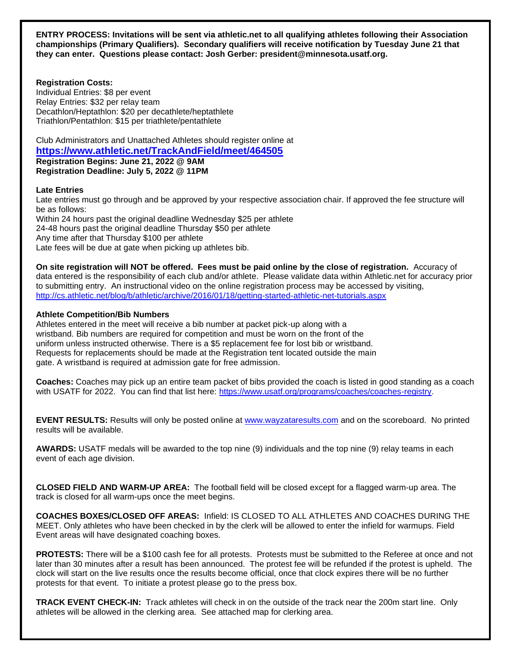**ENTRY PROCESS: Invitations will be sent via athletic.net to all qualifying athletes following their Association championships (Primary Qualifiers). Secondary qualifiers will receive notification by Tuesday June 21 that they can enter. Questions please contact: Josh Gerber: president@minnesota.usatf.org.**

**Registration Costs:**

Individual Entries: \$8 per event Relay Entries: \$32 per relay team Decathlon/Heptathlon: \$20 per decathlete/heptathlete Triathlon/Pentathlon: \$15 per triathlete/pentathlete

Club Administrators and Unattached Athletes should register online at **<https://www.athletic.net/TrackAndField/meet/464505> Registration Begins: June 21, 2022 @ 9AM Registration Deadline: July 5, 2022 @ 11PM**

#### **Late Entries**

Late entries must go through and be approved by your respective association chair. If approved the fee structure will be as follows: Within 24 hours past the original deadline Wednesday \$25 per athlete 24-48 hours past the original deadline Thursday \$50 per athlete Any time after that Thursday \$100 per athlete Late fees will be due at gate when picking up athletes bib.

**On site registration will NOT be offered. Fees must be paid online by the close of registration.** Accuracy of data entered is the responsibility of each club and/or athlete. Please validate data within Athletic.net for accuracy prior to submitting entry. An instructional video on the online registration process may be accessed by visiting, <http://cs.athletic.net/blog/b/athletic/archive/2016/01/18/getting-started-athletic-net-tutorials.aspx>

## **Athlete Competition/Bib Numbers**

Athletes entered in the meet will receive a bib number at packet pick-up along with a wristband. Bib numbers are required for competition and must be worn on the front of the uniform unless instructed otherwise. There is a \$5 replacement fee for lost bib or wristband. Requests for replacements should be made at the Registration tent located outside the main gate. A wristband is required at admission gate for free admission.

**Coaches:** Coaches may pick up an entire team packet of bibs provided the coach is listed in good standing as a coach with USATF for 2022. You can find that list here: [https://www.usatf.org/programs/coaches/coaches-registry.](https://www.usatf.org/programs/coaches/coaches-registry)

**EVENT RESULTS:** Results will only be posted online at [www.wayzataresults.com](http://www.wayzataresults.com/) and on the scoreboard. No printed results will be available.

**AWARDS:** USATF medals will be awarded to the top nine (9) individuals and the top nine (9) relay teams in each event of each age division.

**CLOSED FIELD AND WARM-UP AREA:** The football field will be closed except for a flagged warm-up area. The track is closed for all warm-ups once the meet begins.

**COACHES BOXES/CLOSED OFF AREAS:** Infield: IS CLOSED TO ALL ATHLETES AND COACHES DURING THE MEET. Only athletes who have been checked in by the clerk will be allowed to enter the infield for warmups. Field Event areas will have designated coaching boxes.

**PROTESTS:** There will be a \$100 cash fee for all protests. Protests must be submitted to the Referee at once and not later than 30 minutes after a result has been announced. The protest fee will be refunded if the protest is upheld. The clock will start on the live results once the results become official, once that clock expires there will be no further protests for that event. To initiate a protest please go to the press box.

**TRACK EVENT CHECK-IN:** Track athletes will check in on the outside of the track near the 200m start line. Only athletes will be allowed in the clerking area. See attached map for clerking area.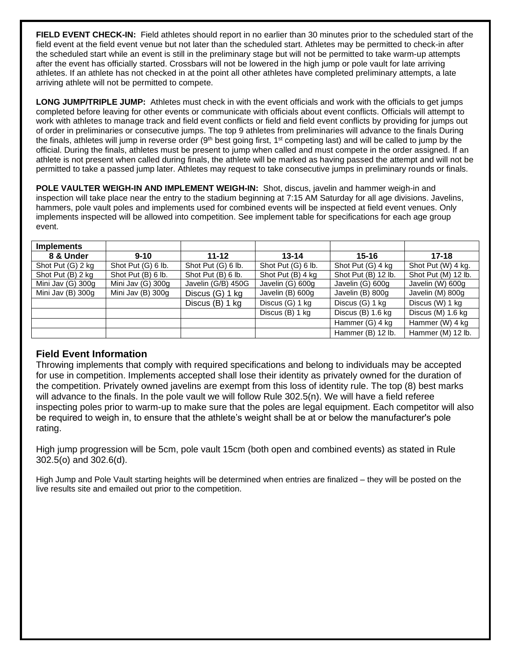**FIELD EVENT CHECK-IN:** Field athletes should report in no earlier than 30 minutes prior to the scheduled start of the field event at the field event venue but not later than the scheduled start. Athletes may be permitted to check-in after the scheduled start while an event is still in the preliminary stage but will not be permitted to take warm-up attempts after the event has officially started. Crossbars will not be lowered in the high jump or pole vault for late arriving athletes. If an athlete has not checked in at the point all other athletes have completed preliminary attempts, a late arriving athlete will not be permitted to compete.

**LONG JUMP/TRIPLE JUMP:** Athletes must check in with the event officials and work with the officials to get jumps completed before leaving for other events or communicate with officials about event conflicts. Officials will attempt to work with athletes to manage track and field event conflicts or field and field event conflicts by providing for jumps out of order in preliminaries or consecutive jumps. The top 9 athletes from preliminaries will advance to the finals During the finals, athletes will jump in reverse order  $(9<sup>th</sup>$  best going first, 1<sup>st</sup> competing last) and will be called to jump by the official. During the finals, athletes must be present to jump when called and must compete in the order assigned. If an athlete is not present when called during finals, the athlete will be marked as having passed the attempt and will not be permitted to take a passed jump later. Athletes may request to take consecutive jumps in preliminary rounds or finals.

**POLE VAULTER WEIGH-IN AND IMPLEMENT WEIGH-IN:** Shot, discus, javelin and hammer weigh-in and inspection will take place near the entry to the stadium beginning at 7:15 AM Saturday for all age divisions. Javelins, hammers, pole vault poles and implements used for combined events will be inspected at field event venues. Only implements inspected will be allowed into competition. See implement table for specifications for each age group event.

| <b>Implements</b> |                    |                    |                    |                     |                     |
|-------------------|--------------------|--------------------|--------------------|---------------------|---------------------|
| 8 & Under         | $9 - 10$           | $11 - 12$          | $13 - 14$          | $15 - 16$           | $17 - 18$           |
| Shot Put (G) 2 kg | Shot Put (G) 6 lb. | Shot Put (G) 6 lb. | Shot Put (G) 6 lb. | Shot Put (G) 4 kg   | Shot Put (W) 4 kg.  |
| Shot Put (B) 2 kg | Shot Put (B) 6 lb. | Shot Put (B) 6 lb. | Shot Put (B) 4 kg  | Shot Put (B) 12 lb. | Shot Put (M) 12 lb. |
| Mini Jav (G) 300g | Mini Jav (G) 300g  | Javelin (G/B) 450G | Javelin (G) 600g   | Javelin (G) 600g    | Javelin (W) 600g    |
| Mini Jav (B) 300g | Mini Jav (B) 300g  | Discus (G) 1 kg    | Javelin (B) 600g   | Javelin (B) 800g    | Javelin (M) 800g    |
|                   |                    | Discus (B) 1 kg    | Discus (G) 1 kg    | Discus (G) 1 kg     | Discus (W) 1 kg     |
|                   |                    |                    | Discus (B) 1 kg    | Discus $(B)$ 1.6 kg | Discus (M) 1.6 kg   |
|                   |                    |                    |                    | Hammer (G) 4 kg     | Hammer (W) 4 kg     |
|                   |                    |                    |                    | Hammer (B) 12 lb.   | Hammer (M) 12 lb.   |

## **Field Event Information**

Throwing implements that comply with required specifications and belong to individuals may be accepted for use in competition. Implements accepted shall lose their identity as privately owned for the duration of the competition. Privately owned javelins are exempt from this loss of identity rule. The top (8) best marks will advance to the finals. In the pole vault we will follow Rule 302.5(n). We will have a field referee inspecting poles prior to warm-up to make sure that the poles are legal equipment. Each competitor will also be required to weigh in, to ensure that the athlete's weight shall be at or below the manufacturer's pole rating.

High jump progression will be 5cm, pole vault 15cm (both open and combined events) as stated in Rule 302.5(o) and 302.6(d).

High Jump and Pole Vault starting heights will be determined when entries are finalized – they will be posted on the live results site and emailed out prior to the competition.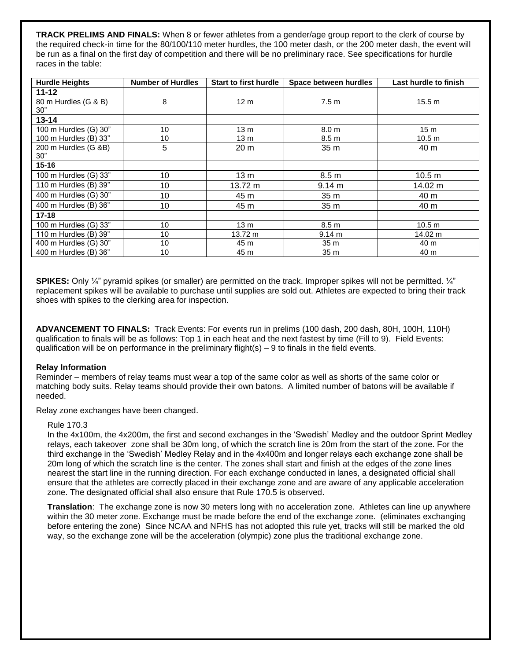**TRACK PRELIMS AND FINALS:** When 8 or fewer athletes from a gender/age group report to the clerk of course by the required check-in time for the 80/100/110 meter hurdles, the 100 meter dash, or the 200 meter dash, the event will be run as a final on the first day of competition and there will be no preliminary race. See specifications for hurdle races in the table:

| <b>Hurdle Heights</b>              | <b>Number of Hurdles</b> | <b>Start to first hurdle</b> | Space between hurdles | Last hurdle to finish |
|------------------------------------|--------------------------|------------------------------|-----------------------|-----------------------|
| $11 - 12$                          |                          |                              |                       |                       |
| 80 m Hurdles (G & B)               | 8                        | 12 <sub>m</sub>              | 7.5 <sub>m</sub>      | 15.5 m                |
| 30"                                |                          |                              |                       |                       |
| $13 - 14$                          |                          |                              |                       |                       |
| 100 m Hurdles (G) 30"              | 10                       | 13 <sub>m</sub>              | 8.0 <sub>m</sub>      | 15 <sub>m</sub>       |
| 100 m Hurdles (B) 33"              | 10                       | 13 <sub>m</sub>              | 8.5 <sub>m</sub>      | 10.5 m                |
| 200 m Hurdles (G &B)               | 5                        | 20 <sub>m</sub>              | 35 m                  | 40 m                  |
| 30"                                |                          |                              |                       |                       |
| $15 - 16$                          |                          |                              |                       |                       |
| $\overline{100}$ m Hurdles (G) 33" | 10                       | 13 m                         | 8.5 <sub>m</sub>      | 10.5 m                |
| 110 m Hurdles (B) 39"              | 10                       | 13.72 m                      | 9.14 m                | 14.02 m               |
| 400 m Hurdles (G) 30"              | 10                       | 45 m                         | 35 m                  | 40 m                  |
| 400 m Hurdles (B) 36"              | 10                       | 45 m                         | 35 <sub>m</sub>       | 40 m                  |
| $17 - 18$                          |                          |                              |                       |                       |
| 100 m Hurdles (G) 33"              | 10                       | 13 <sub>m</sub>              | 8.5 <sub>m</sub>      | 10.5 <sub>m</sub>     |
| 110 m Hurdles (B) 39"              | 10                       | 13.72 m                      | 9.14 m                | 14.02 m               |
| 400 m Hurdles (G) 30"              | 10                       | 45 m                         | 35 <sub>m</sub>       | 40 m                  |
| 400 m Hurdles (B) 36"              | 10                       | 45 m                         | 35 <sub>m</sub>       | 40 m                  |

**SPIKES:** Only ¼" pyramid spikes (or smaller) are permitted on the track. Improper spikes will not be permitted. ¼" replacement spikes will be available to purchase until supplies are sold out. Athletes are expected to bring their track shoes with spikes to the clerking area for inspection.

**ADVANCEMENT TO FINALS:** Track Events: For events run in prelims (100 dash, 200 dash, 80H, 100H, 110H) qualification to finals will be as follows: Top 1 in each heat and the next fastest by time (Fill to 9). Field Events: qualification will be on performance in the preliminary flight(s)  $-9$  to finals in the field events.

#### **Relay Information**

Reminder – members of relay teams must wear a top of the same color as well as shorts of the same color or matching body suits. Relay teams should provide their own batons. A limited number of batons will be available if needed.

Relay zone exchanges have been changed.

#### Rule 170.3

In the 4x100m, the 4x200m, the first and second exchanges in the 'Swedish' Medley and the outdoor Sprint Medley relays, each takeover zone shall be 30m long, of which the scratch line is 20m from the start of the zone. For the third exchange in the 'Swedish' Medley Relay and in the 4x400m and longer relays each exchange zone shall be 20m long of which the scratch line is the center. The zones shall start and finish at the edges of the zone lines nearest the start line in the running direction. For each exchange conducted in lanes, a designated official shall ensure that the athletes are correctly placed in their exchange zone and are aware of any applicable acceleration zone. The designated official shall also ensure that Rule 170.5 is observed.

**Translation**: The exchange zone is now 30 meters long with no acceleration zone. Athletes can line up anywhere within the 30 meter zone. Exchange must be made before the end of the exchange zone. (eliminates exchanging before entering the zone) Since NCAA and NFHS has not adopted this rule yet, tracks will still be marked the old way, so the exchange zone will be the acceleration (olympic) zone plus the traditional exchange zone.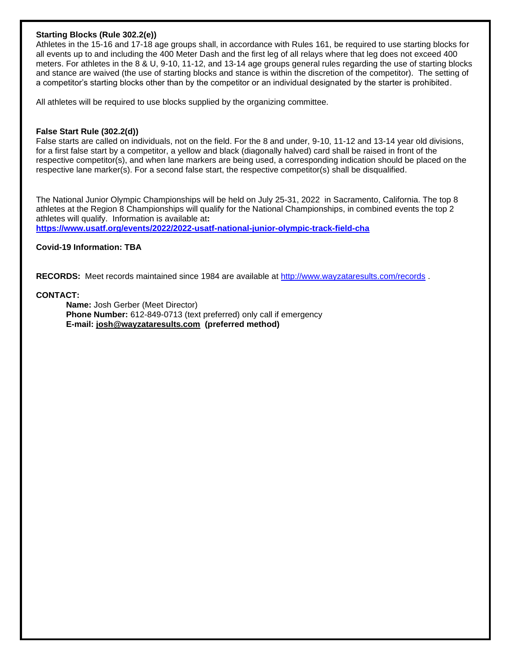#### **Starting Blocks (Rule 302.2(e))**

Athletes in the 15-16 and 17-18 age groups shall, in accordance with Rules 161, be required to use starting blocks for all events up to and including the 400 Meter Dash and the first leg of all relays where that leg does not exceed 400 meters. For athletes in the 8 & U, 9-10, 11-12, and 13-14 age groups general rules regarding the use of starting blocks and stance are waived (the use of starting blocks and stance is within the discretion of the competitor). The setting of a competitor's starting blocks other than by the competitor or an individual designated by the starter is prohibited.

All athletes will be required to use blocks supplied by the organizing committee.

#### **False Start Rule (302.2(d))**

False starts are called on individuals, not on the field. For the 8 and under, 9-10, 11-12 and 13-14 year old divisions, for a first false start by a competitor, a yellow and black (diagonally halved) card shall be raised in front of the respective competitor(s), and when lane markers are being used, a corresponding indication should be placed on the respective lane marker(s). For a second false start, the respective competitor(s) shall be disqualified.

The National Junior Olympic Championships will be held on July 25-31, 2022 in Sacramento, California. The top 8 athletes at the Region 8 Championships will qualify for the National Championships, in combined events the top 2 athletes will qualify. Information is available at**: <https://www.usatf.org/events/2022/2022-usatf-national-junior-olympic-track-field-cha>**

**Covid-19 Information: TBA**

**RECORDS:** Meet records maintained since 1984 are available at <http://www.wayzataresults.com/records> .

#### **CONTACT:**

**Name:** Josh Gerber (Meet Director) **Phone Number:** 612-849-0713 (text preferred) only call if emergency **E-mail: [josh@wayzataresults.com](mailto:josh@wayzataresults.com) (preferred method)**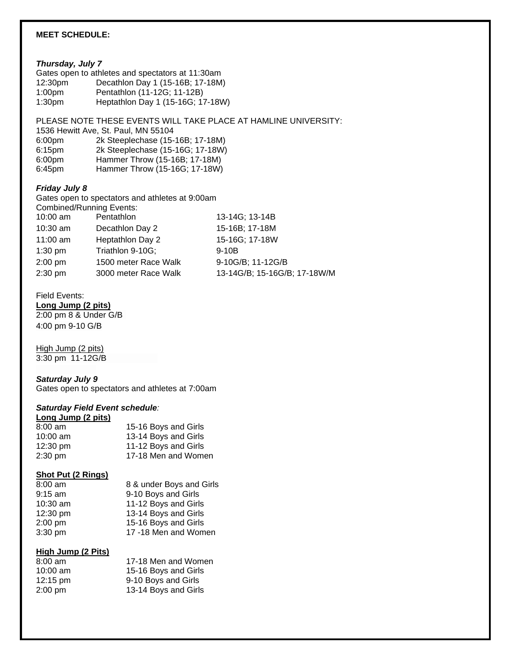## **MEET SCHEDULE:**

#### *Thursday, July 7*

|                     | Gates open to athletes and spectators at 11:30am |
|---------------------|--------------------------------------------------|
| 12:30 <sub>pm</sub> | Decathlon Day 1 (15-16B; 17-18M)                 |
| 1:00 <sub>pm</sub>  | Pentathlon (11-12G; 11-12B)                      |
| 1:30 <sub>pm</sub>  | Heptathlon Day 1 (15-16G; 17-18W)                |

## PLEASE NOTE THESE EVENTS WILL TAKE PLACE AT HAMLINE UNIVERSITY:

| 1536 Hewitt Ave, St. Paul, MN 55104 |                                  |  |  |
|-------------------------------------|----------------------------------|--|--|
| 6:00 <sub>pm</sub>                  | 2k Steeplechase (15-16B; 17-18M) |  |  |
| 6:15 <sub>pm</sub>                  | 2k Steeplechase (15-16G; 17-18W) |  |  |
| 6:00 <sub>pm</sub>                  | Hammer Throw (15-16B; 17-18M)    |  |  |
| 6:45 <sub>pm</sub>                  | Hammer Throw (15-16G; 17-18W)    |  |  |

## *Friday July 8*

Gates open to spectators and athletes at 9:00am Combined/Running Events:<br>10:00 am Pentathlon 13-14G; 13-14B 10:30 am Decathlon Day 2 15-16B; 17-18M 11:00 am Heptathlon Day 2 15-16G; 17-18W 1:30 pm Triathlon 9-10G; 9-10B 2:00 pm 1500 meter Race Walk 9-10G/B; 11-12G/B 2:30 pm 3000 meter Race Walk 13-14G/B; 15-16G/B; 17-18W/M

#### Field Events:

**Long Jump (2 pits)** 2:00 pm 8 & Under G/B 4:00 pm 9-10 G/B

## High Jump (2 pits)

3:30 pm 11-12G/B

#### *Saturday July 9*

Gates open to spectators and athletes at 7:00am

## *Saturday Field Event schedule:*

#### **Long Jump (2 pits)**

| $8:00 \text{ am}$  | 15-16 Boys and Girls |
|--------------------|----------------------|
| $10:00$ am         | 13-14 Boys and Girls |
| $12:30 \text{ pm}$ | 11-12 Boys and Girls |
| $2:30 \text{ pm}$  | 17-18 Men and Women  |

#### **Shot Put (2 Rings)**

| $8:00 \text{ am}$ | 8 & under Boys and Girls |
|-------------------|--------------------------|
| $9:15$ am         | 9-10 Boys and Girls      |
| 10:30 am          | 11-12 Boys and Girls     |
| 12:30 pm          | 13-14 Boys and Girls     |
| 2:00 pm           | 15-16 Boys and Girls     |
| 3:30 pm           | 17 -18 Men and Women     |

## **High Jump (2 Pits)**

| $8:00 \text{ am}$  | 17-18 Men and Women  |
|--------------------|----------------------|
| $10:00$ am         | 15-16 Boys and Girls |
| $12:15 \text{ pm}$ | 9-10 Boys and Girls  |
| $2:00 \text{ pm}$  | 13-14 Boys and Girls |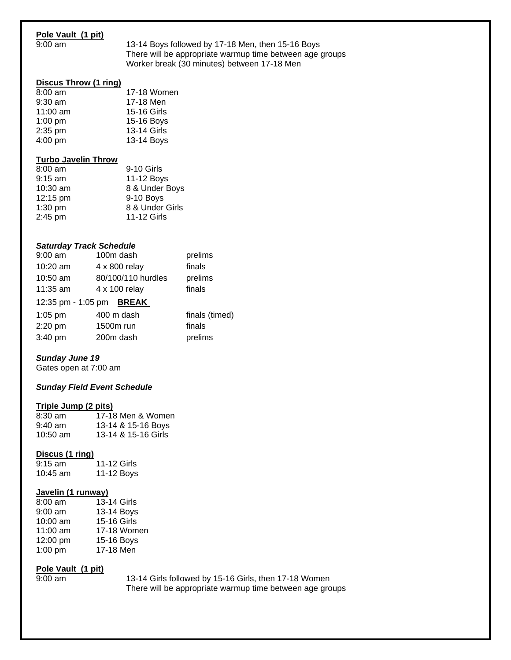## **Pole Vault (1 pit)**

9:00 am 13-14 Boys followed by 17-18 Men, then 15-16 Boys There will be appropriate warmup time between age groups Worker break (30 minutes) between 17-18 Men

## **Discus Throw (1 ring)**

| 17-18 Women |
|-------------|
| 17-18 Men   |
| 15-16 Girls |
| 15-16 Boys  |
| 13-14 Girls |
| 13-14 Boys  |
|             |

#### **Turbo Javelin Throw**

| $8:00$ am  | 9-10 Girls      |
|------------|-----------------|
| $9:15$ am  | 11-12 Boys      |
| $10:30$ am | 8 & Under Boys  |
| 12:15 pm   | 9-10 Boys       |
| $1:30$ pm  | 8 & Under Girls |
| 2:45 pm    | 11-12 Girls     |

#### *Saturday Track Schedule*

| $9:00$ am                | 100m dash          | prelims        |
|--------------------------|--------------------|----------------|
| 10:20 am                 | 4 x 800 relay      | finals         |
| 10:50 am                 | 80/100/110 hurdles | prelims        |
| 11:35 am                 | 4 x 100 relay      | finals         |
| 12:35 pm - 1:05 pm BREAK |                    |                |
| $1:05$ pm                | 400 m dash         | finals (timed) |
| 2:20 pm                  | 1500m run          | finals         |
| 3:40 pm                  | 200m dash          | prelims        |
|                          |                    |                |

## *Sunday June 19*

Gates open at 7:00 am

#### *Sunday Field Event Schedule*

#### **Triple Jump (2 pits)**

| $8:30$ am  | 17-18 Men & Women   |
|------------|---------------------|
| $9:40$ am  | 13-14 & 15-16 Boys  |
| $10:50$ am | 13-14 & 15-16 Girls |

#### **Discus (1 ring)**

| $9:15$ am  | 11-12 Girls |
|------------|-------------|
| 10:45 $am$ | 11-12 Boys  |

## **Javelin (1 runway)**

| 13-14 Girls |
|-------------|
| 13-14 Boys  |
| 15-16 Girls |
| 17-18 Women |
| 15-16 Boys  |
| 17-18 Men   |
|             |

#### **Pole Vault (1 pit)**

9:00 am 13-14 Girls followed by 15-16 Girls, then 17-18 Women There will be appropriate warmup time between age groups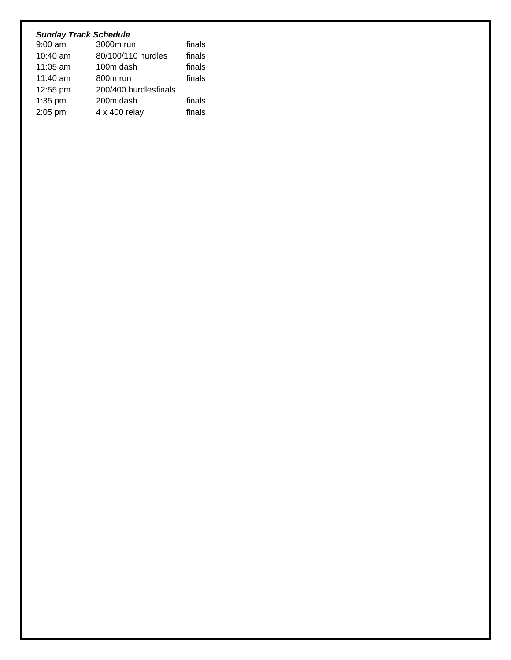## *Sunday Track Schedule*

| $9:00$ am | 3000m run             | finals |
|-----------|-----------------------|--------|
| 10:40 am  | 80/100/110 hurdles    | finals |
| 11:05 am  | 100m dash             | finals |
| 11:40 am  | 800m run              | finals |
| 12:55 pm  | 200/400 hurdlesfinals |        |
| $1:35$ pm | 200m dash             | finals |
| 2:05 pm   | 4 x 400 relay         | finals |